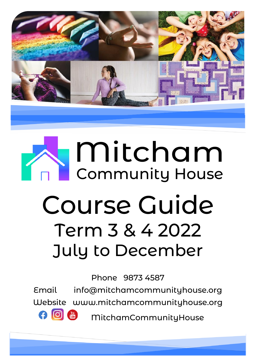

# Mitcham Community House

# Course Guide Term 3 & 4 2022 July to December

Phone 9873 4587

Email [info@mitchamcommunityhouse.org](mailto:info@mitchamcommunityhouse.org) Website [www.mitchamcommunityhouse.org](http://www.mitchamcommunityhouse.org/) 

40 8

MitchamCommunityHouse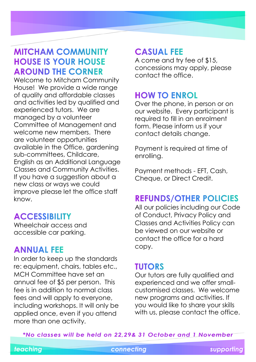# **MITCHAM COMMUNITY HOUSE IS YOUR HOUSE AROUND THE CORNER**

Welcome to Mitcham Community House! We provide a wide range of quality and affordable classes and activities led by qualified and experienced tutors. We are managed by a volunteer Committee of Management and welcome new members. There are volunteer opportunities available in the Office, gardening sub-committees, Childcare, English as an Additional Language Classes and Community Activities. If you have a suggestion about a new class or ways we could improve please let the office staff know.

# **ACCESSIBILITY**

Wheelchair access and accessible car parking.

# **ANNUAL FEE**

In order to keep up the standards re: equipment, chairs, tables etc., MCH Committee have set an annual fee of \$5 per person. This fee is in addition to normal class fees and will apply to everyone, including workshops. It will only be applied once, even if you attend more than one activity.

# **CASUAL FEE**

A come and try fee of \$15, concessions may apply, please contact the office.

# **HOW TO ENROL**

Over the phone, in person or on our website. Every participant is required to fill in an enrolment form. Please inform us if your contact details change.

Payment is required at time of enrolling.

Payment methods - EFT, Cash, Cheque, or Direct Credit.

# **REFUNDS/OTHER POLICIES**

All our policies including our Code of Conduct, Privacy Policy and Classes and Activities Policy can be viewed on our website or contact the office for a hard copy.

# **TUTORS**

Our tutors are fully qualified and experienced and we offer smallcustomised classes. We welcome new programs and activities. If you would like to share your skills with us, please contact the office.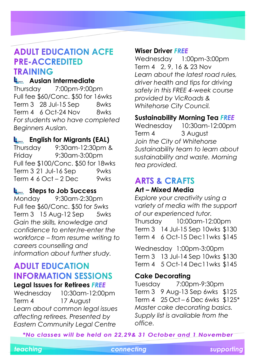# **ADULT EDUCATION ACFE PRE-ACCREDITED TRAINING**

#### **Auslan Intermediate**

Thursday 7:00pm-9:00pm Full fee \$60/Conc. \$50 for 16wks  $Term 3 28$  Jul-15 Sep  $8w$ ks Term 4 6 Oct-24 Nov 8wks *For students who have completed Beginners Auslan.*

#### **English for Migrants (EAL)**

Thursday 9:30am-12:30pm & Friday 9:30am-3:00pm Full fee \$100/Conc. \$50 for 18wks Term 3 21 Jul-16 Sep 9wks Term  $4.6$  Oct – 2 Dec 9wks

#### **L. Steps to Job Success**

Monday 9:30am-2:30pm Full fee \$60/Conc. \$50 for 5wks Term 3 15 Aug-12 Sep 5wks *Gain the skills, knowledge and confidence to enter/re-enter the workforce – from resume writing to careers counselling and information about further study.*

# **ADULT EDUCATION INFORMATION SESSIONS**

#### **Legal Issues for Retirees**

Wednesday 10:30am-12:00pm Term 4 17 August *Learn about common legal issues affecting retirees. Presented by Eastern Community Legal Centre* 

#### **Wiser Driver**

Wednesday 1:00pm-3:00pm Term 4 2, 9, 16 & 23 Nov *Learn about the latest road rules, driver health and tips for driving safely in this FREE 4-week course provided by VicRoads & Whitehorse City Council.* 

#### **Sustainability Morning Tea**

Wednesday 10:30am-12:00pm Term 4 3 August *Join the City of Whitehorse Sustainability team to learn about sustainability and waste. Morning tea provided.*

### **ARTS & CRAFTS**

#### **Art – Mixed Media**

*Explore your creativity using a variety of media with the support of our experienced tutor.* Thursday 10:00am-12:00pm Term 3 14 Jul-15 Sep 10wks \$130 Term 4 6 Oct-15 Dec11wks \$145

Wednesday 1:00pm-3:00pm Term 3 13 Jul-14 Sep 10wks \$130 Term 4 5 Oct-14 Dec11wks \$145

#### **Cake Decorating**

Tuesday 7:00pm-9:30pm Term 3 9 Aug-13 Sep 6wks \$125 Term 4 25 Oct – 6 Dec 6wks \$125\* *Master cake decorating basics. Supply list is available from the office.*

*\*No classes will be held on 22,29& 31 October and 1 November*

**discriming teaching connecting supporting supporting**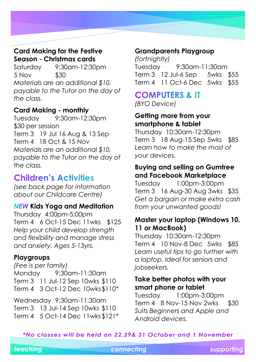#### **Card Making for the Festive Season - Christmas cards**

Saturday 9:30am-12:30pm 5 Nov \$30 *Materials are an additional \$10, payable to the Tutor on the day of the class.*

#### **Card Making - monthly**

Tuesday 9:30am-12:30pm \$30 per session Term 3 19 Jul 16 Aug & 13 Sep Term 4 18 Oct & 15 Nov *Materials are an additional \$10, payable to the Tutor on the day of the class.*

# **Children's Activities**

*(see back page for information about our Childcare Centre)*

#### **NEW Kids Yoga and Meditation**

Thursday 4:00pm-5:00pm Term 4 6 Oct-15 Dec 11wks \$125 *Help your child develop strength and flexibility and manage stress and anxiety. Ages 5-13yrs.*

#### **Playgroups**

*(Fee is per family)* Monday 9:30am-11:30am Term 3 11 Jul-12 Sep 10wks \$110 Term 4 3 Oct-12 Dec 10wks\$110\*

Wednesday 9:30am-11:30am Term 3 13 Jul-14 Sep 10wks \$110 Term 4 5 Oct-14 Dec 11wks\$121\*

#### **Grandparents Playgroup**

*(fortnightly)* Tuesday 9:30am-11:30am Term 3 12 Jul-6 Sep 5wks \$55 Term 4 11 Oct-6 Dec 5wks \$55

# **COMPUTERS & IT**

*(BYO Device)*

#### **Getting more from your smartphone & tablet**

Thursday 10:30am-12:30pm Term 3 18 Aug-15 Sep 5wks \$85 *Learn how to make the most of your devices.* 

#### **Buying and selling on Gumtree and Facebook Marketplace**

Tuesday 1:00pm-3:00pm Term 3 16 Aug-30 Aug 3wks \$35 *Get a bargain or make extra cash from your unwanted goods!* 

#### **Master your laptop (Windows 10, 11 or MacBook)**

Thursday 10:30am-12:30pm Term 4 10 Nov-8 Dec 5wks \$85 *Learn useful tips to go further with a laptop. Ideal for seniors and jobseekers.* 

#### **Take better photos with your smart phone or tablet**

Tuesday 1:00pm-3:00pm Term 4 8 Nov-15 Nov 2wks \$30 *Suits Beginners and Apple and Android devices.* 

*\*No classes will be held on 22,29& 31 October and 1 November*

*teaching connecting supporting*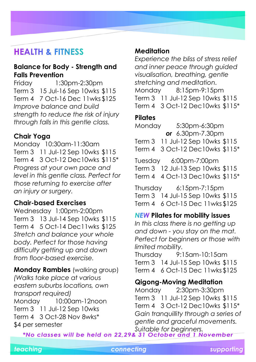# **HEALTH & FITNESS**

#### **Balance for Body - Strength and Falls Prevention**

Friday 1:30pm-2:30pm Term 3 15 Jul-16 Sep 10wks \$115 Term 4 7 Oct-16 Dec 11wks \$125 *Improve balance and build strength to reduce the risk of injury through falls in this gentle class.*

#### **Chair Yoga**

Monday 10:30am-11:30am Term 3 11 Jul-12 Sep 10wks \$115 Term 4 3 Oct-12 Dec10wks \$115\* *Progress at your own pace and level in this gentle class. Perfect for those returning to exercise after an injury or surgery.*

#### **Chair-based Exercises**

Wednesday 1:00pm-2:00pm Term 3 13 Jul-14 Sep 10wks \$115 Term 4 5 Oct-14 Dec11wks \$125 *Stretch and balance your whole body. Perfect for those having difficulty getting up and down from floor-based exercise.*

**Monday Rambles** (walking group) *(Walks take place at various eastern suburbs locations, own transport required)* Monday 10:00am-12noon Term 3 11 Jul-12 Sep 10wks Term 4 3 Oct-28 Nov 8wks\* \$4 per semester

#### **Meditation**

*Experience the bliss of stress relief and inner peace through guided visualisation, breathing, gentle stretching and meditation.* Monday 8:15pm-9:15pm Term 3 11 Jul-12 Sep 10wks \$115 Term 4 3 Oct-12 Dec10wks \$115\*

#### **Pilates**

Monday 5:30pm-6:30pm *or* 6.30pm-7.30pm Term 3 11 Jul-12 Sep 10wks \$115 Term 4 3 Oct-12 Dec10wks \$115\* Tuesday 6:00pm-7:00pm Term 3 12 Jul-13 Sep 10wks \$115 Term 4 4 Oct-13 Dec10wks \$115\* Thursday 6:15pm-7:15pm

Term 3 14 Jul-15 Sep 10wks \$115 Term 4 6 Oct-15 Dec 11wks \$125

#### **NEW Pilates for mobility issues**

*In this class there is no getting up and down - you stay on the mat. Perfect for beginners or those with limited mobility.*

Thursday 9:15am-10:15am Term 3 14 Jul-15 Sep 10wks \$115 Term 4 6 Oct-15 Dec 11wks \$125

#### **Qigong-Moving Meditation**

Monday 2:30pm-3:30pm Term 3 11 Jul-12 Sep 10wks \$115 Term 4 3 Oct-12 Dec10wks \$115\* *Gain tranquillity through a series of gentle and graceful movements. Suitable for beginners.*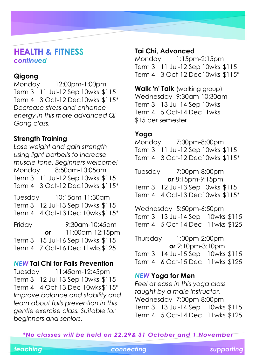#### **HEALTH & FITNESS** continued

#### **Qigong**

Monday 12:00pm-1:00pm Term 3 11 Jul-12 Sep 10wks \$115 Term 4 3 Oct-12 Dec10wks \$115\* *Decrease stress and enhance energy in this more advanced Qi Gong class.* 

#### **Strength Training**

*Lose weight and gain strength using light barbells to increase muscle tone. Beginners welcome!* Monday 8:50am-10:05am Term 3 11 Jul-12 Sep 10wks \$115 Term 4 3 Oct-12 Dec10wks \$115\*

Tuesday 10:15am-11:30am Term 3 12 Jul-13 Sep 10wks \$115 Term 4 4 Oct-13 Dec 10wks\$115\*

Friday 9:30am-10:45am *or* 11:00am-12:15pm Term 3 15 Jul-16 Sep 10wks \$115 Term 4 7 Oct-16 Dec 11wks \$125

### **NEW Tai Chi for Falls Prevention**

Tuesday 11:45am-12:45pm Term 3 12 Jul-13 Sep 10wks \$115 Term 4 4 Oct-13 Dec 10wks\$115\* *Improve balance and stability and learn about falls prevention in this gentle exercise class. Suitable for beginners and seniors.*

### **Tai Chi, Advanced**

Monday 1:15pm-2:15pm Term 3 11 Jul-12 Sep 10wks \$115 Term 4 3 Oct-12 Dec10wks \$115\*

**Walk 'n' Talk** (walking group) Wednesday 9:30am-10:30am Term 3 13 Jul-14 Sep 10wks Term 4 5 Oct-14 Dec11wks \$15 per semester

#### **Yoga**

Monday 7:00pm-8:00pm Term 3 11 Jul-12 Sep 10wks \$115 Term 4 3 Oct-12 Dec10wks \$115\*

Tuesday 7:00pm-8:00pm *or* 8:15pm-9:15pm

Term 3 12 Jul-13 Sep 10wks \$115 Term 4 4 Oct-13 Dec10wks \$115\*

Wednesday 5:50pm-6:50pm Term 3 13 Jul-14 Sep 10wks \$115 Term 4 5 Oct-14 Dec 11wks \$125

Thursday 1:00pm-2:00pm *or* 2:10pm-3:10pm Term 3 14 Jul-15 Sep 10wks \$115 Term 4 6 Oct-15 Dec 11wks \$125

#### **NEW Yoga for Men**

*Feel at ease in this yoga class taught by a male instructor.* Wednesday 7:00pm-8:00pm Term 3 13 Jul-14 Sep 10wks \$115 Term 4 5 Oct-14 Dec 11wks \$125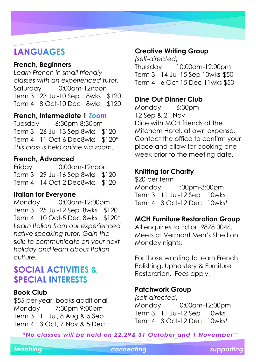# **LANGUAGES**

#### **French, Beginners**

*Learn French in small friendly classes with an experienced tutor.* Saturday 10:00am-12noon Term 3 23 Jul-10 Sep 8wks \$120 Term 4 8 Oct-10 Dec 8wks \$120

#### **French, Intermediate 1**

Tuesday 6:30pm-8:30pm Term 3 26 Jul-13 Sep 8wks \$120 Term 4 11 Oct-6 Dec8wks \$120\* *This class is held online via zoom.*

#### **French, Advanced**

Friday 10:00am-12noon Term 3 29 Jul-16 Sep 8wks \$120 Term 4 14 Oct-2 Dec8wks \$120

#### **Italian for Everyone**

Monday 10:00am-12:00pm Term 3 25 Jul-12 Sep 8wks \$120 Term 4 10 Oct-5 Dec 8wks \$120\* *Learn Italian from our experienced native speaking tutor. Gain the skills to communicate on your next holiday and learn about Italian culture.*

# **SOCIAL ACTIVITIES & SPECIAL INTERESTS**

#### **Book Club**

\$55 per year, books additional Monday 7:30pm-9:00pm Term 3 11 Jul, 8 Aug & 5 Sep Term 4 3 Oct, 7 Nov & 5 Dec

#### **Creative Writing Group**

*(self-directed)* Thursday 10:00am-12:00pm Term 3 14 Jul-15 Sep 10wks \$50 Term 4 6 Oct-15 Dec 11wks \$50

#### **Dine Out Dinner Club**

Monday 6:30pm 12 Sep & 21 Nov Dine with MCH friends at the Mitcham Hotel, at own expense. Contact the office to confirm your place and allow for booking one week prior to the meeting date.

#### **Knitting for Charity**

\$20 per term Monday 1:00pm-3:00pm Term 3 11 Jul-12 Sep 10wks Term 4 3 Oct-12 Dec 10wks\*

#### **MCH Furniture Restoration Group**

All enquiries to Ed on 9878 0046. Meets at Vermont Men's Shed on Monday nights.

For those wanting to learn French Polishing, Upholstery & Furniture Restoration. Fees apply.

#### **Patchwork Group**

*(self-directed)* Monday 10:00am-12:00pm Term 3 11 Jul-12 Sep 10wks Term 4 3 Oct-12 Dec 10wks\*

*\*No classes will be held on 22,29& 31 October and 1 November*

*teaching connecting supporting*